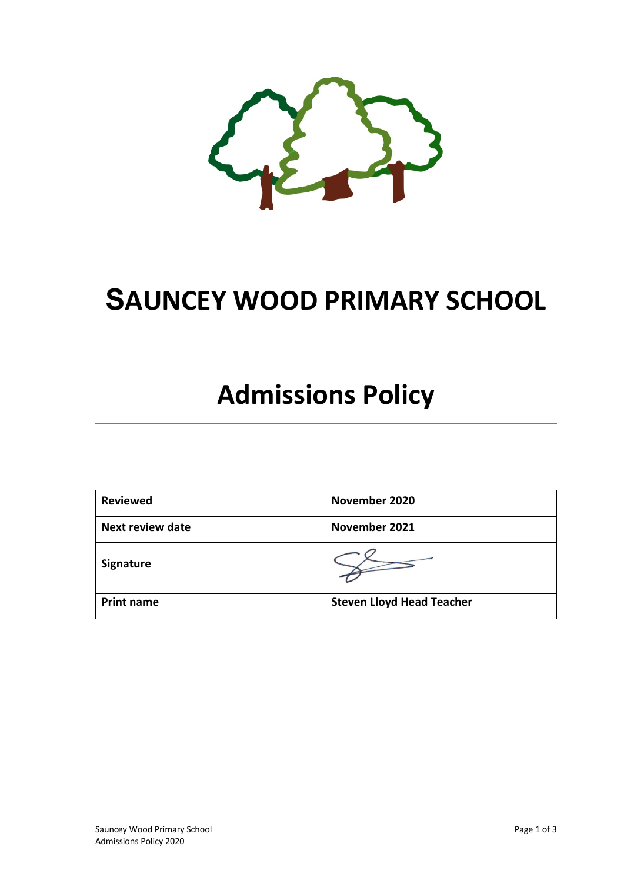

## **SAUNCEY WOOD PRIMARY SCHOOL**

# **Admissions Policy**

| <b>Reviewed</b>   | November 2020                    |
|-------------------|----------------------------------|
| Next review date  | November 2021                    |
| Signature         |                                  |
| <b>Print name</b> | <b>Steven Lloyd Head Teacher</b> |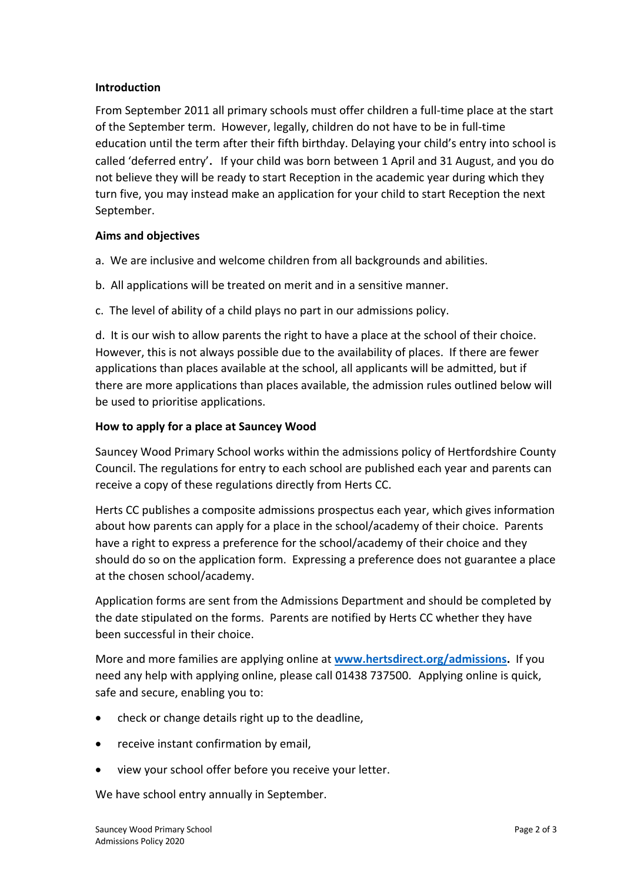#### **Introduction**

From September 2011 all primary schools must offer children a full-time place at the start of the September term. However, legally, children do not have to be in full-time education until the term after their fifth birthday. Delaying your child's entry into school is called 'deferred entry'. If your child was born between 1 April and 31 August, and you do not believe they will be ready to start Reception in the academic year during which they turn five, you may instead make an application for your child to start Reception the next September.

## **Aims and objectives**

- a. We are inclusive and welcome children from all backgrounds and abilities.
- b. All applications will be treated on merit and in a sensitive manner.
- c. The level of ability of a child plays no part in our admissions policy.

d. It is our wish to allow parents the right to have a place at the school of their choice. However, this is not always possible due to the availability of places. If there are fewer applications than places available at the school, all applicants will be admitted, but if there are more applications than places available, the admission rules outlined below will be used to prioritise applications.

## **How to apply for a place at Sauncey Wood**

Sauncey Wood Primary School works within the admissions policy of Hertfordshire County Council. The regulations for entry to each school are published each year and parents can receive a copy of these regulations directly from Herts CC.

Herts CC publishes a composite admissions prospectus each year, which gives information about how parents can apply for a place in the school/academy of their choice. Parents have a right to express a preference for the school/academy of their choice and they should do so on the application form. Expressing a preference does not guarantee a place at the chosen school/academy.

Application forms are sent from the Admissions Department and should be completed by the date stipulated on the forms. Parents are notified by Herts CC whether they have been successful in their choice.

More and more families are applying online at **www.hertsdirect.org/admissions.** If you need any help with applying online, please call 01438 737500. Applying online is quick, safe and secure, enabling you to:

- check or change details right up to the deadline,
- receive instant confirmation by email,
- view your school offer before you receive your letter.

We have school entry annually in September.